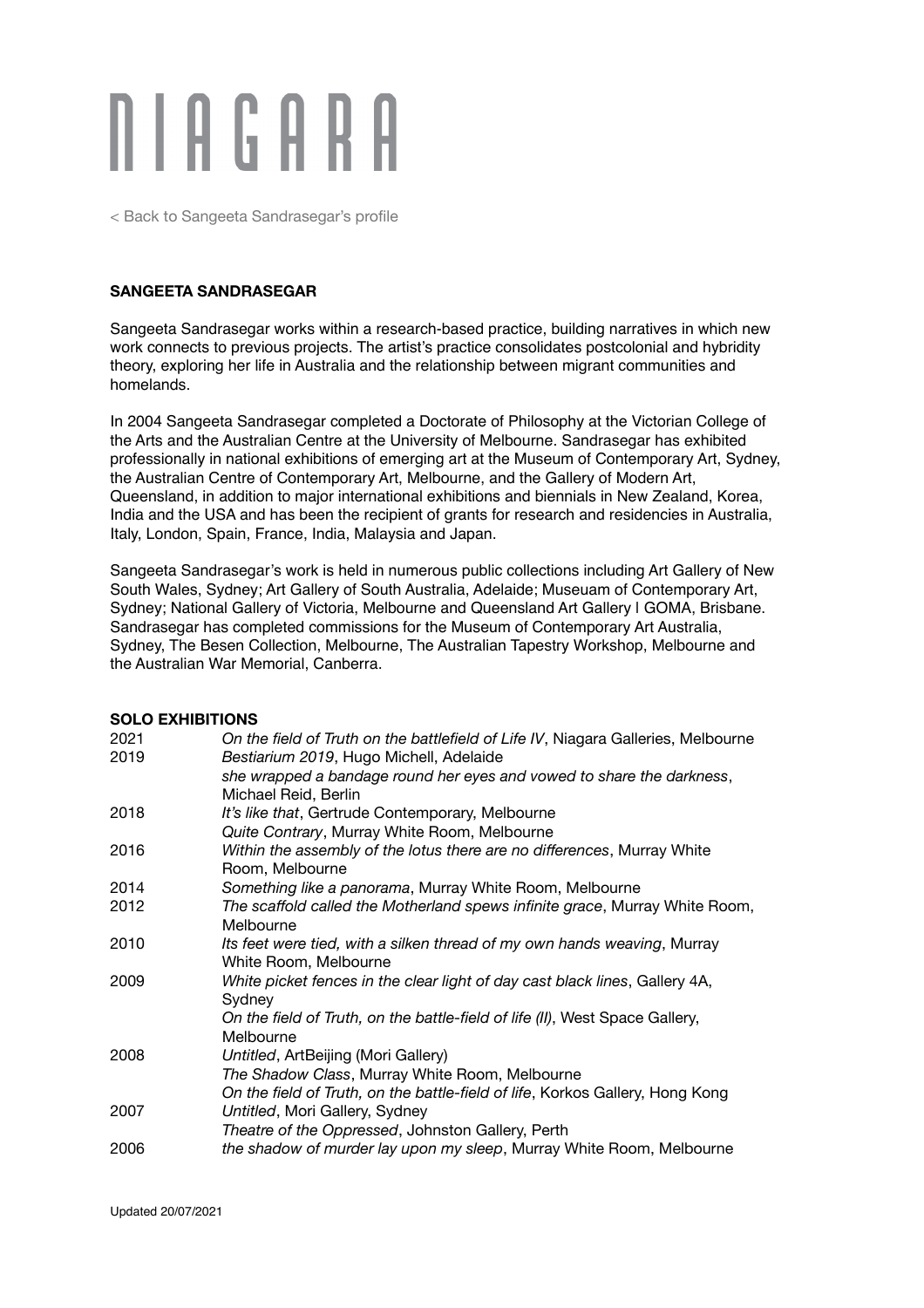

[< Back to Sangeeta Sandrasegar's profile](http://niagaragalleries.com.au/sangeeta-sandrasegar)

#### **SANGEETA SANDRASEGAR**

Sangeeta Sandrasegar works within a research-based practice, building narratives in which new work connects to previous projects. The artist's practice consolidates postcolonial and hybridity theory, exploring her life in Australia and the relationship between migrant communities and homelands.

In 2004 Sangeeta Sandrasegar completed a Doctorate of Philosophy at the Victorian College of the Arts and the Australian Centre at the University of Melbourne. Sandrasegar has exhibited professionally in national exhibitions of emerging art at the Museum of Contemporary Art, Sydney, the Australian Centre of Contemporary Art, Melbourne, and the Gallery of Modern Art, Queensland, in addition to major international exhibitions and biennials in New Zealand, Korea, India and the USA and has been the recipient of grants for research and residencies in Australia, Italy, London, Spain, France, India, Malaysia and Japan.

Sangeeta Sandrasegar's work is held in numerous public collections including Art Gallery of New South Wales, Sydney; Art Gallery of South Australia, Adelaide; Museuam of Contemporary Art, Sydney; National Gallery of Victoria, Melbourne and Queensland Art Gallery I GOMA, Brisbane. Sandrasegar has completed commissions for the Museum of Contemporary Art Australia, Sydney, The Besen Collection, Melbourne, The Australian Tapestry Workshop, Melbourne and the Australian War Memorial, Canberra.

#### **SOLO EXHIBITIONS**

| 2021 | On the field of Truth on the battlefield of Life IV, Niagara Galleries, Melbourne                 |
|------|---------------------------------------------------------------------------------------------------|
| 2019 | Bestiarium 2019, Hugo Michell, Adelaide                                                           |
|      | she wrapped a bandage round her eyes and vowed to share the darkness,                             |
|      | Michael Reid, Berlin                                                                              |
| 2018 | It's like that, Gertrude Contemporary, Melbourne                                                  |
|      | Quite Contrary, Murray White Room, Melbourne                                                      |
| 2016 | Within the assembly of the lotus there are no differences, Murray White<br>Room, Melbourne        |
| 2014 | Something like a panorama, Murray White Room, Melbourne                                           |
| 2012 | The scaffold called the Motherland spews infinite grace, Murray White Room,<br>Melbourne          |
| 2010 | Its feet were tied, with a silken thread of my own hands weaving, Murray<br>White Room, Melbourne |
| 2009 | White picket fences in the clear light of day cast black lines, Gallery 4A,<br>Sydney             |
|      | On the field of Truth, on the battle-field of life (II), West Space Gallery,<br>Melbourne         |
| 2008 | Untitled, ArtBeijing (Mori Gallery)                                                               |
|      | The Shadow Class, Murray White Room, Melbourne                                                    |
|      | On the field of Truth, on the battle-field of life, Korkos Gallery, Hong Kong                     |
| 2007 | Untitled, Mori Gallery, Sydney                                                                    |
|      | Theatre of the Oppressed, Johnston Gallery, Perth                                                 |
|      |                                                                                                   |
| 2006 | the shadow of murder lay upon my sleep, Murray White Room, Melbourne                              |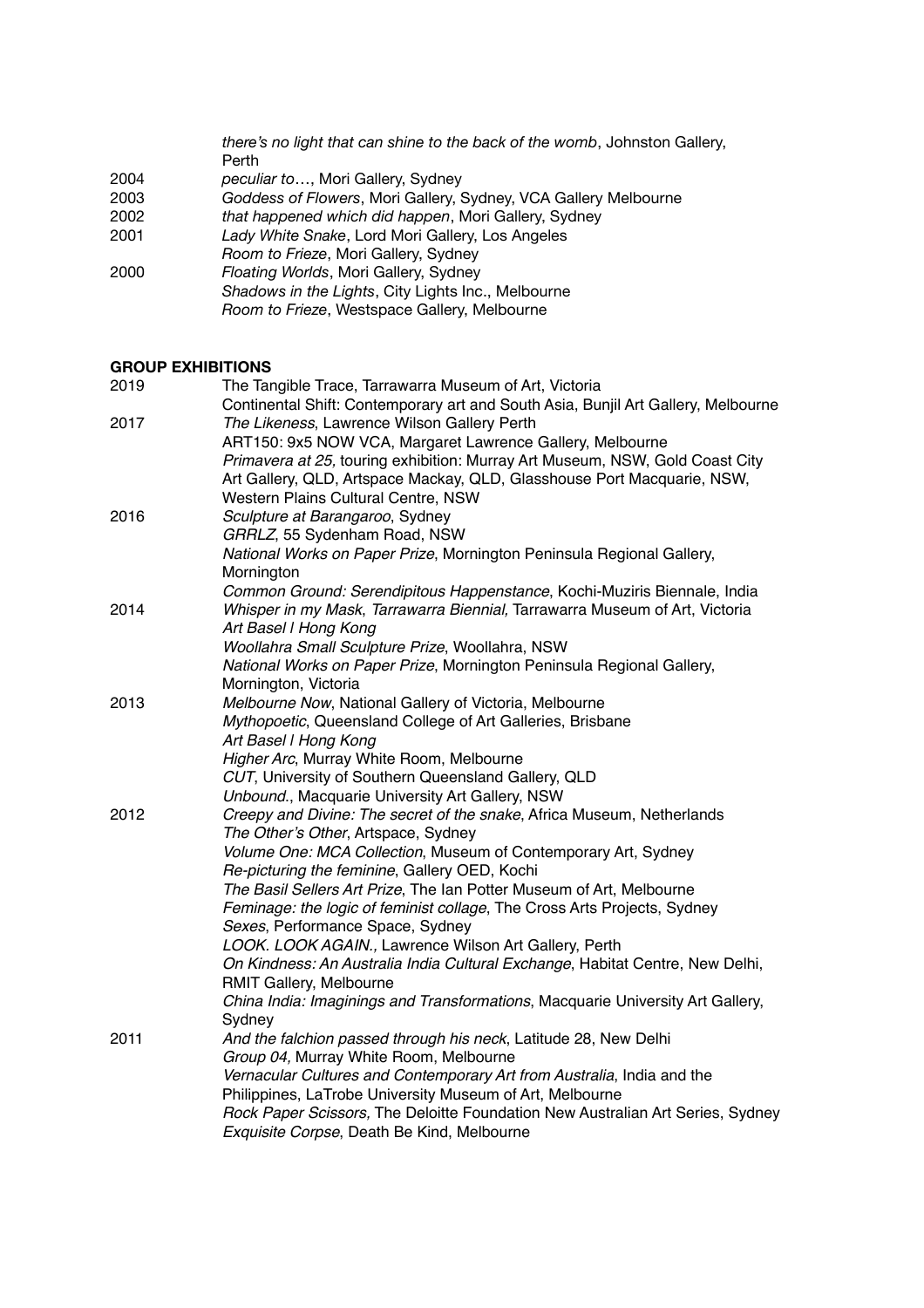|      | there's no light that can shine to the back of the womb, Johnston Gallery, |
|------|----------------------------------------------------------------------------|
|      | Perth                                                                      |
| 2004 | peculiar to, Mori Gallery, Sydney                                          |
| 2003 | Goddess of Flowers, Mori Gallery, Sydney, VCA Gallery Melbourne            |
| 2002 | that happened which did happen, Mori Gallery, Sydney                       |
| 2001 | Lady White Snake, Lord Mori Gallery, Los Angeles                           |
|      | Room to Frieze, Mori Gallery, Sydney                                       |
| 2000 | Floating Worlds, Mori Gallery, Sydney                                      |
|      | Shadows in the Lights, City Lights Inc., Melbourne                         |
|      | Room to Frieze, Westspace Gallery, Melbourne                               |

# **GROUP EXHIBITIONS**

| 2019 | The Tangible Trace, Tarrawarra Museum of Art, Victoria                                                         |
|------|----------------------------------------------------------------------------------------------------------------|
|      | Continental Shift: Contemporary art and South Asia, Bunjil Art Gallery, Melbourne                              |
| 2017 | The Likeness, Lawrence Wilson Gallery Perth                                                                    |
|      | ART150: 9x5 NOW VCA, Margaret Lawrence Gallery, Melbourne                                                      |
|      | Primavera at 25, touring exhibition: Murray Art Museum, NSW, Gold Coast City                                   |
|      | Art Gallery, QLD, Artspace Mackay, QLD, Glasshouse Port Macquarie, NSW,<br>Western Plains Cultural Centre, NSW |
|      |                                                                                                                |
| 2016 | Sculpture at Barangaroo, Sydney<br>GRRLZ, 55 Sydenham Road, NSW                                                |
|      | National Works on Paper Prize, Mornington Peninsula Regional Gallery,                                          |
|      | Mornington                                                                                                     |
|      | Common Ground: Serendipitous Happenstance, Kochi-Muziris Biennale, India                                       |
| 2014 | Whisper in my Mask, Tarrawarra Biennial, Tarrawarra Museum of Art, Victoria                                    |
|      | Art Basel I Hong Kong                                                                                          |
|      | Woollahra Small Sculpture Prize, Woollahra, NSW                                                                |
|      | National Works on Paper Prize, Mornington Peninsula Regional Gallery,                                          |
|      | Mornington, Victoria                                                                                           |
| 2013 | Melbourne Now, National Gallery of Victoria, Melbourne                                                         |
|      | Mythopoetic, Queensland College of Art Galleries, Brisbane                                                     |
|      | Art Basel I Hong Kong                                                                                          |
|      | Higher Arc, Murray White Room, Melbourne                                                                       |
|      | CUT, University of Southern Queensland Gallery, QLD                                                            |
|      | Unbound., Macquarie University Art Gallery, NSW                                                                |
| 2012 | Creepy and Divine: The secret of the snake, Africa Museum, Netherlands                                         |
|      | The Other's Other, Artspace, Sydney                                                                            |
|      | Volume One: MCA Collection, Museum of Contemporary Art, Sydney                                                 |
|      | Re-picturing the feminine, Gallery OED, Kochi                                                                  |
|      | The Basil Sellers Art Prize, The Ian Potter Museum of Art, Melbourne                                           |
|      | Feminage: the logic of feminist collage, The Cross Arts Projects, Sydney                                       |
|      | Sexes, Performance Space, Sydney                                                                               |
|      | LOOK. LOOK AGAIN., Lawrence Wilson Art Gallery, Perth                                                          |
|      | On Kindness: An Australia India Cultural Exchange, Habitat Centre, New Delhi,                                  |
|      | RMIT Gallery, Melbourne                                                                                        |
|      | China India: Imaginings and Transformations, Macquarie University Art Gallery,                                 |
|      | Sydney<br>And the falchion passed through his neck, Latitude 28, New Delhi                                     |
| 2011 | Group 04, Murray White Room, Melbourne                                                                         |
|      | Vernacular Cultures and Contemporary Art from Australia, India and the                                         |
|      | Philippines, LaTrobe University Museum of Art, Melbourne                                                       |
|      | Rock Paper Scissors, The Deloitte Foundation New Australian Art Series, Sydney                                 |
|      | Exquisite Corpse, Death Be Kind, Melbourne                                                                     |
|      |                                                                                                                |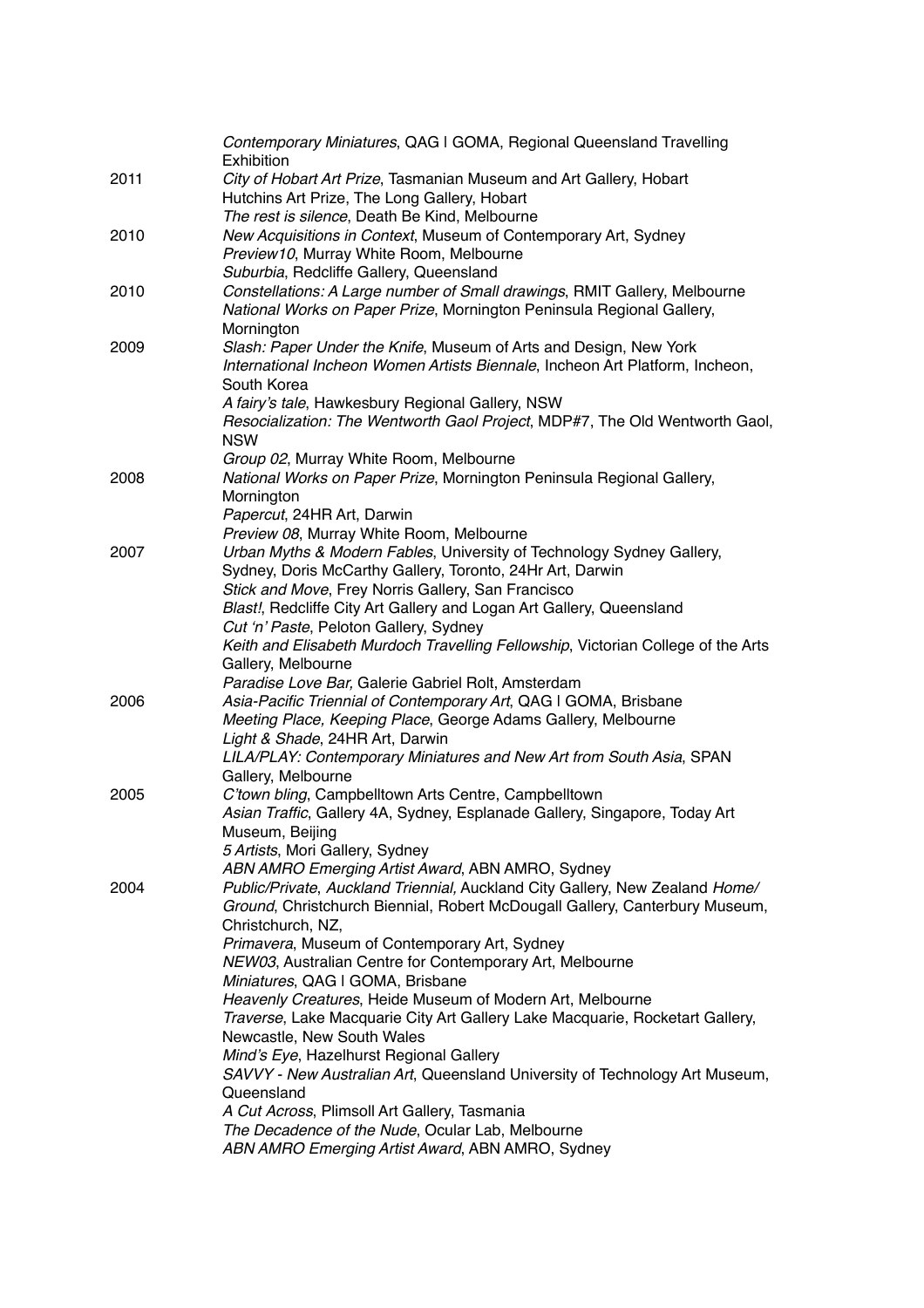| 2011 | Contemporary Miniatures, QAG I GOMA, Regional Queensland Travelling<br>Exhibition<br>City of Hobart Art Prize, Tasmanian Museum and Art Gallery, Hobart |
|------|---------------------------------------------------------------------------------------------------------------------------------------------------------|
|      | Hutchins Art Prize, The Long Gallery, Hobart                                                                                                            |
|      | The rest is silence, Death Be Kind, Melbourne                                                                                                           |
| 2010 | New Acquisitions in Context, Museum of Contemporary Art, Sydney                                                                                         |
|      | Preview10, Murray White Room, Melbourne                                                                                                                 |
|      | Suburbia, Redcliffe Gallery, Queensland                                                                                                                 |
| 2010 | Constellations: A Large number of Small drawings, RMIT Gallery, Melbourne<br>National Works on Paper Prize, Mornington Peninsula Regional Gallery,      |
| 2009 | Mornington<br>Slash: Paper Under the Knife, Museum of Arts and Design, New York                                                                         |
|      | International Incheon Women Artists Biennale, Incheon Art Platform, Incheon,<br>South Korea                                                             |
|      | A fairy's tale, Hawkesbury Regional Gallery, NSW                                                                                                        |
|      | Resocialization: The Wentworth Gaol Project, MDP#7, The Old Wentworth Gaol,<br><b>NSW</b>                                                               |
|      | Group 02, Murray White Room, Melbourne                                                                                                                  |
| 2008 | National Works on Paper Prize, Mornington Peninsula Regional Gallery,                                                                                   |
|      | Mornington                                                                                                                                              |
|      | Papercut, 24HR Art, Darwin                                                                                                                              |
|      | Preview 08, Murray White Room, Melbourne                                                                                                                |
| 2007 | Urban Myths & Modern Fables, University of Technology Sydney Gallery,                                                                                   |
|      | Sydney, Doris McCarthy Gallery, Toronto, 24Hr Art, Darwin                                                                                               |
|      | Stick and Move, Frey Norris Gallery, San Francisco                                                                                                      |
|      | Blast!, Redcliffe City Art Gallery and Logan Art Gallery, Queensland                                                                                    |
|      | Cut 'n' Paste, Peloton Gallery, Sydney                                                                                                                  |
|      | Keith and Elisabeth Murdoch Travelling Fellowship, Victorian College of the Arts                                                                        |
|      | Gallery, Melbourne                                                                                                                                      |
|      | Paradise Love Bar, Galerie Gabriel Rolt, Amsterdam<br>Asia-Pacific Triennial of Contemporary Art, QAG I GOMA, Brisbane                                  |
| 2006 | Meeting Place, Keeping Place, George Adams Gallery, Melbourne                                                                                           |
|      | Light & Shade, 24HR Art, Darwin                                                                                                                         |
|      | LILA/PLAY: Contemporary Miniatures and New Art from South Asia, SPAN                                                                                    |
|      | Gallery, Melbourne                                                                                                                                      |
| 2005 | C'town bling, Campbelltown Arts Centre, Campbelltown                                                                                                    |
|      | Asian Traffic, Gallery 4A, Sydney, Esplanade Gallery, Singapore, Today Art                                                                              |
|      | Museum, Beijing                                                                                                                                         |
|      | 5 Artists, Mori Gallery, Sydney                                                                                                                         |
|      | ABN AMRO Emerging Artist Award, ABN AMRO, Sydney                                                                                                        |
| 2004 | Public/Private, Auckland Triennial, Auckland City Gallery, New Zealand Home/                                                                            |
|      | Ground, Christchurch Biennial, Robert McDougall Gallery, Canterbury Museum,                                                                             |
|      | Christchurch, NZ,                                                                                                                                       |
|      | Primavera, Museum of Contemporary Art, Sydney                                                                                                           |
|      | NEW03, Australian Centre for Contemporary Art, Melbourne                                                                                                |
|      | Miniatures, QAG I GOMA, Brisbane                                                                                                                        |
|      | Heavenly Creatures, Heide Museum of Modern Art, Melbourne                                                                                               |
|      | Traverse, Lake Macquarie City Art Gallery Lake Macquarie, Rocketart Gallery,                                                                            |
|      | Newcastle, New South Wales                                                                                                                              |
|      | Mind's Eye, Hazelhurst Regional Gallery                                                                                                                 |
|      | SAVVY - New Australian Art, Queensland University of Technology Art Museum,                                                                             |
|      | Queensland                                                                                                                                              |
|      | A Cut Across, Plimsoll Art Gallery, Tasmania<br>The Decadence of the Nude, Ocular Lab, Melbourne                                                        |
|      | ABN AMRO Emerging Artist Award, ABN AMRO, Sydney                                                                                                        |
|      |                                                                                                                                                         |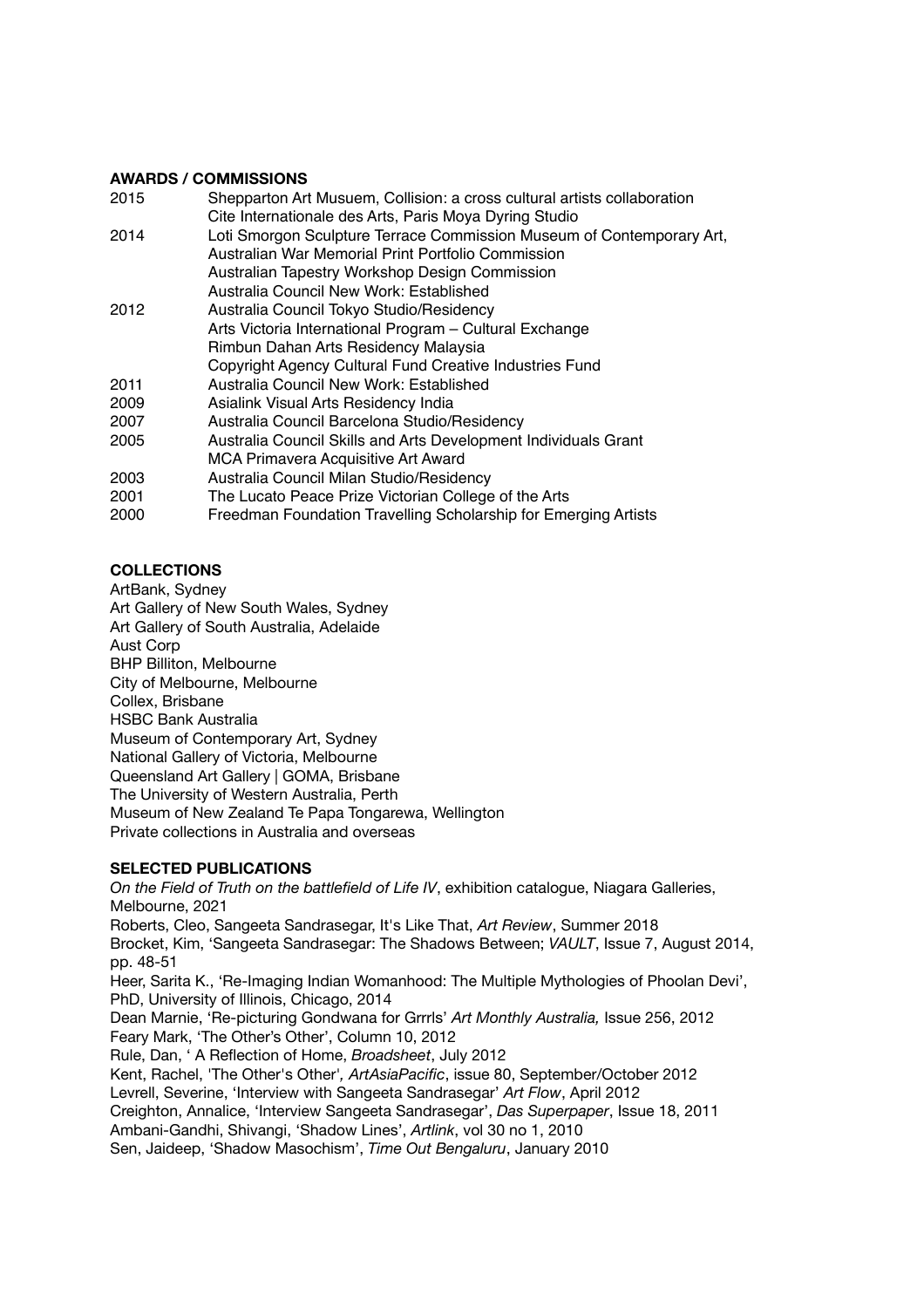## **AWARDS / COMMISSIONS**

| 2015 | Shepparton Art Musuem, Collision: a cross cultural artists collaboration |
|------|--------------------------------------------------------------------------|
|      | Cite Internationale des Arts, Paris Moya Dyring Studio                   |
| 2014 | Loti Smorgon Sculpture Terrace Commission Museum of Contemporary Art,    |
|      | Australian War Memorial Print Portfolio Commission                       |
|      | Australian Tapestry Workshop Design Commission                           |
|      | Australia Council New Work: Established                                  |
| 2012 | Australia Council Tokyo Studio/Residency                                 |
|      | Arts Victoria International Program - Cultural Exchange                  |
|      | Rimbun Dahan Arts Residency Malaysia                                     |
|      | Copyright Agency Cultural Fund Creative Industries Fund                  |
| 2011 | Australia Council New Work: Established                                  |
| 2009 | Asialink Visual Arts Residency India                                     |
| 2007 | Australia Council Barcelona Studio/Residency                             |
| 2005 | Australia Council Skills and Arts Development Individuals Grant          |
|      | MCA Primavera Acquisitive Art Award                                      |
| 2003 | Australia Council Milan Studio/Residency                                 |
| 2001 | The Lucato Peace Prize Victorian College of the Arts                     |
| 2000 | Freedman Foundation Travelling Scholarship for Emerging Artists          |
|      |                                                                          |

## **COLLECTIONS**

ArtBank, Sydney Art Gallery of New South Wales, Sydney Art Gallery of South Australia, Adelaide Aust Corp BHP Billiton, Melbourne City of Melbourne, Melbourne Collex, Brisbane HSBC Bank Australia Museum of Contemporary Art, Sydney National Gallery of Victoria, Melbourne Queensland Art Gallery | GOMA, Brisbane The University of Western Australia, Perth Museum of New Zealand Te Papa Tongarewa, Wellington Private collections in Australia and overseas

## **SELECTED PUBLICATIONS**

*On the Field of Truth on the battlefield of Life IV*, exhibition catalogue, Niagara Galleries, Melbourne, 2021 Roberts, Cleo, Sangeeta Sandrasegar, It's Like That, *Art Review*, Summer 2018 Brocket, Kim, 'Sangeeta Sandrasegar: The Shadows Between; *VAULT*, Issue 7, August 2014, pp. 48-51 Heer, Sarita K., 'Re-Imaging Indian Womanhood: The Multiple Mythologies of Phoolan Devi', PhD, University of Illinois, Chicago, 2014 Dean Marnie, 'Re-picturing Gondwana for Grrrls' *Art Monthly Australia,* Issue 256, 2012 Feary Mark, 'The Other's Other', Column 10, 2012 Rule, Dan, ' A Reflection of Home, *Broadsheet*, July 2012 Kent, Rachel, 'The Other's Other'*, ArtAsiaPacific*, issue 80, September/October 2012 Levrell, Severine, 'Interview with Sangeeta Sandrasegar' *Art Flow*, April 2012 Creighton, Annalice, 'Interview Sangeeta Sandrasegar', *Das Superpaper*, Issue 18, 2011 Ambani-Gandhi, Shivangi, 'Shadow Lines', *Artlink*, vol 30 no 1, 2010 Sen, Jaideep, 'Shadow Masochism', *Time Out Bengaluru*, January 2010